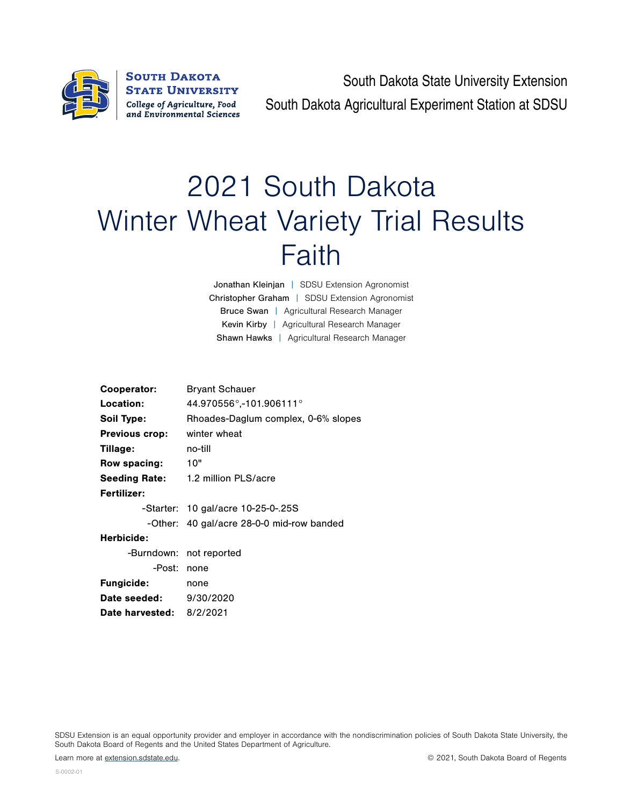

**SOUTH DAKOTA STATE UNIVERSITY** College of Agriculture, Food and Environmental Sciences

South Dakota State University Extension South Dakota Agricultural Experiment Station at SDSU

## 2021 South Dakota Winter Wheat Variety Trial Results Faith

Jonathan Kleinjan | SDSU Extension Agronomist Christopher Graham | SDSU Extension Agronomist Bruce Swan | Agricultural Research Manager Kevin Kirby | Agricultural Research Manager Shawn Hawks | Agricultural Research Manager

| Cooperator:                   | <b>Bryant Schauer</b>                     |  |  |  |  |  |
|-------------------------------|-------------------------------------------|--|--|--|--|--|
| Location:                     | 44.970556°,-101.906111°                   |  |  |  |  |  |
| Soil Type:                    | Rhoades-Daglum complex, 0-6% slopes       |  |  |  |  |  |
| <b>Previous crop:</b>         | winter wheat                              |  |  |  |  |  |
| Tillage:                      | no-till                                   |  |  |  |  |  |
| Row spacing:                  | 10"                                       |  |  |  |  |  |
|                               | Seeding Rate: 1.2 million PLS/acre        |  |  |  |  |  |
| <b>Fertilizer:</b>            |                                           |  |  |  |  |  |
|                               | -Starter: 10 gal/acre 10-25-0-.25S        |  |  |  |  |  |
|                               | -Other: 40 gal/acre 28-0-0 mid-row banded |  |  |  |  |  |
| Herbicide:                    |                                           |  |  |  |  |  |
|                               | -Burndown: not reported                   |  |  |  |  |  |
| -Post:                        | none                                      |  |  |  |  |  |
| <b>Fungicide:</b>             | none                                      |  |  |  |  |  |
| <b>Date seeded:</b> 9/30/2020 |                                           |  |  |  |  |  |
| Date harvested: 8/2/2021      |                                           |  |  |  |  |  |
|                               |                                           |  |  |  |  |  |

SDSU Extension is an equal opportunity provider and employer in accordance with the nondiscrimination policies of South Dakota State University, the South Dakota Board of Regents and the United States Department of Agriculture.